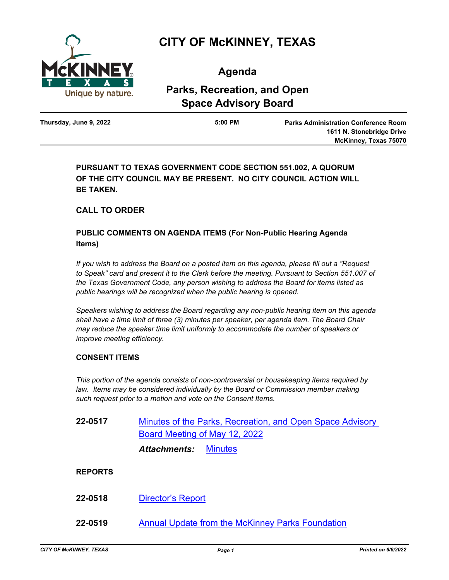

# **CITY OF McKINNEY, TEXAS**

**Agenda**

## **Parks, Recreation, and Open Space Advisory Board**

| $5:00$ PM | <b>Parks Administration Conference Room</b> |
|-----------|---------------------------------------------|
|           | 1611 N. Stonebridge Drive                   |
|           | McKinney, Texas 75070                       |
|           |                                             |

**PURSUANT TO TEXAS GOVERNMENT CODE SECTION 551.002, A QUORUM OF THE CITY COUNCIL MAY BE PRESENT. NO CITY COUNCIL ACTION WILL BE TAKEN.**

### **CALL TO ORDER**

### **PUBLIC COMMENTS ON AGENDA ITEMS (For Non-Public Hearing Agenda Items)**

*If you wish to address the Board on a posted item on this agenda, please fill out a "Request*  to Speak" card and present it to the Clerk before the meeting. Pursuant to Section 551.007 of *the Texas Government Code, any person wishing to address the Board for items listed as public hearings will be recognized when the public hearing is opened.*

*Speakers wishing to address the Board regarding any non-public hearing item on this agenda shall have a time limit of three (3) minutes per speaker, per agenda item. The Board Chair may reduce the speaker time limit uniformly to accommodate the number of speakers or improve meeting efficiency.*

### **CONSENT ITEMS**

*This portion of the agenda consists of non-controversial or housekeeping items required by*  law. Items may be considered individually by the Board or Commission member making *such request prior to a motion and vote on the Consent Items.*

| 22-0517        | Minutes of the Parks, Recreation, and Open Space Advisory<br>Board Meeting of May 12, 2022 |
|----------------|--------------------------------------------------------------------------------------------|
|                | <b>Minutes</b><br>Attachments:                                                             |
| <b>REPORTS</b> |                                                                                            |
| 22-0518        | <b>Director's Report</b>                                                                   |

**22-0519** [Annual Update from the McKinney Parks Foundation](http://mckinney.legistar.com/gateway.aspx?m=l&id=23939)